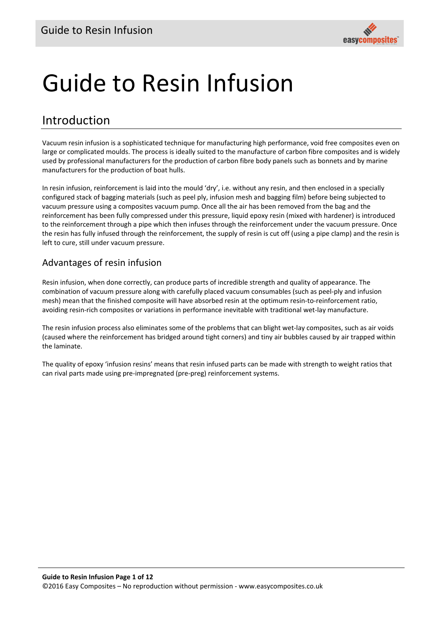# Guide to Resin Infusion

## Introduction

Vacuum resin infusion is a sophisticated technique for manufacturing high performance, void free composites even on large or complicated moulds. The process is ideally suited to the manufacture of carbon fibre composites and is widely used by professional manufacturers for the production of carbon fibre body panels such as bonnets and by marine manufacturers for the production of boat hulls.

In resin infusion, reinforcement is laid into the mould 'dry', i.e. without any resin, and then enclosed in a specially configured stack of bagging materials (such as peel ply, infusion mesh and bagging film) before being subjected to vacuum pressure using a composites vacuum pump. Once all the air has been removed from the bag and the reinforcement has been fully compressed under this pressure, liquid epoxy resin (mixed with hardener) is introduced to the reinforcement through a pipe which then infuses through the reinforcement under the vacuum pressure. Once the resin has fully infused through the reinforcement, the supply of resin is cut off (using a pipe clamp) and the resin is left to cure, still under vacuum pressure.

#### Advantages of resin infusion

Resin infusion, when done correctly, can produce parts of incredible strength and quality of appearance. The combination of vacuum pressure along with carefully placed vacuum consumables (such as peel‐ply and infusion mesh) mean that the finished composite will have absorbed resin at the optimum resin‐to‐reinforcement ratio, avoiding resin‐rich composites or variations in performance inevitable with traditional wet‐lay manufacture.

The resin infusion process also eliminates some of the problems that can blight wet‐lay composites, such as air voids (caused where the reinforcement has bridged around tight corners) and tiny air bubbles caused by air trapped within the laminate.

The quality of epoxy 'infusion resins' means that resin infused parts can be made with strength to weight ratios that can rival parts made using pre‐impregnated (pre‐preg) reinforcement systems.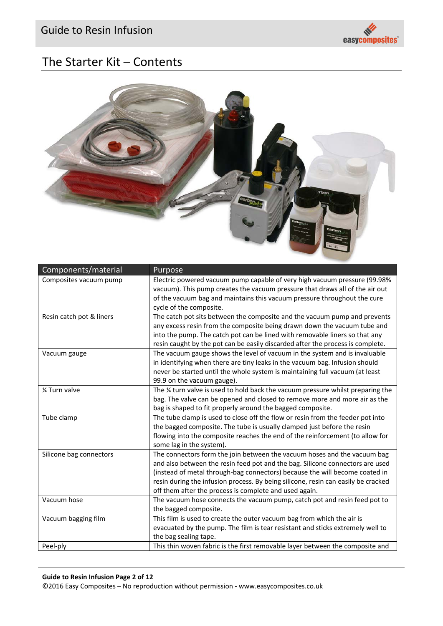

## The Starter Kit – Contents



| Components/material      | Purpose                                                                                                                                                                                                                                                                                                                                                                                 |
|--------------------------|-----------------------------------------------------------------------------------------------------------------------------------------------------------------------------------------------------------------------------------------------------------------------------------------------------------------------------------------------------------------------------------------|
| Composites vacuum pump   | Electric powered vacuum pump capable of very high vacuum pressure (99.98%<br>vacuum). This pump creates the vacuum pressure that draws all of the air out<br>of the vacuum bag and maintains this vacuum pressure throughout the cure<br>cycle of the composite.                                                                                                                        |
| Resin catch pot & liners | The catch pot sits between the composite and the vacuum pump and prevents<br>any excess resin from the composite being drawn down the vacuum tube and<br>into the pump. The catch pot can be lined with removable liners so that any<br>resin caught by the pot can be easily discarded after the process is complete.                                                                  |
| Vacuum gauge             | The vacuum gauge shows the level of vacuum in the system and is invaluable<br>in identifying when there are tiny leaks in the vacuum bag. Infusion should<br>never be started until the whole system is maintaining full vacuum (at least<br>99.9 on the vacuum gauge).                                                                                                                 |
| % Turn valve             | The 1/4 turn valve is used to hold back the vacuum pressure whilst preparing the<br>bag. The valve can be opened and closed to remove more and more air as the<br>bag is shaped to fit properly around the bagged composite.                                                                                                                                                            |
| Tube clamp               | The tube clamp is used to close off the flow or resin from the feeder pot into<br>the bagged composite. The tube is usually clamped just before the resin<br>flowing into the composite reaches the end of the reinforcement (to allow for<br>some lag in the system).                                                                                                                  |
| Silicone bag connectors  | The connectors form the join between the vacuum hoses and the vacuum bag<br>and also between the resin feed pot and the bag. Silicone connectors are used<br>(instead of metal through-bag connectors) because the will become coated in<br>resin during the infusion process. By being silicone, resin can easily be cracked<br>off them after the process is complete and used again. |
| Vacuum hose              | The vacuum hose connects the vacuum pump, catch pot and resin feed pot to<br>the bagged composite.                                                                                                                                                                                                                                                                                      |
| Vacuum bagging film      | This film is used to create the outer vacuum bag from which the air is<br>evacuated by the pump. The film is tear resistant and sticks extremely well to<br>the bag sealing tape.                                                                                                                                                                                                       |
| Peel-ply                 | This thin woven fabric is the first removable layer between the composite and                                                                                                                                                                                                                                                                                                           |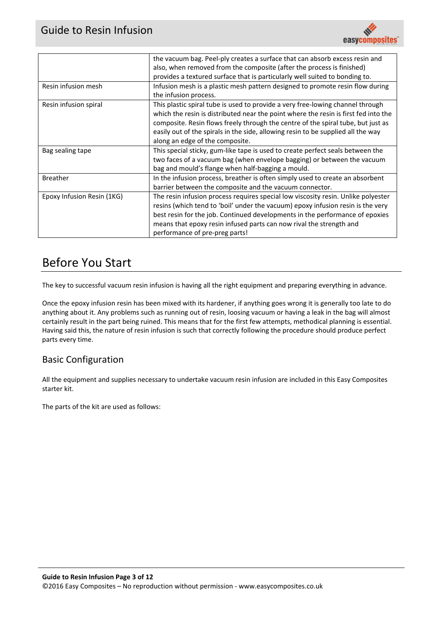

|                            | the vacuum bag. Peel-ply creates a surface that can absorb excess resin and                                                                                                                                                                                                                                                                                                      |  |  |  |  |
|----------------------------|----------------------------------------------------------------------------------------------------------------------------------------------------------------------------------------------------------------------------------------------------------------------------------------------------------------------------------------------------------------------------------|--|--|--|--|
|                            | also, when removed from the composite (after the process is finished)                                                                                                                                                                                                                                                                                                            |  |  |  |  |
|                            | provides a textured surface that is particularly well suited to bonding to.                                                                                                                                                                                                                                                                                                      |  |  |  |  |
| Resin infusion mesh        | Infusion mesh is a plastic mesh pattern designed to promote resin flow during<br>the infusion process.                                                                                                                                                                                                                                                                           |  |  |  |  |
| Resin infusion spiral      | This plastic spiral tube is used to provide a very free-lowing channel through<br>which the resin is distributed near the point where the resin is first fed into the<br>composite. Resin flows freely through the centre of the spiral tube, but just as<br>easily out of the spirals in the side, allowing resin to be supplied all the way<br>along an edge of the composite. |  |  |  |  |
| Bag sealing tape           | This special sticky, gum-like tape is used to create perfect seals between the<br>two faces of a vacuum bag (when envelope bagging) or between the vacuum<br>bag and mould's flange when half-bagging a mould.                                                                                                                                                                   |  |  |  |  |
| <b>Breather</b>            | In the infusion process, breather is often simply used to create an absorbent<br>barrier between the composite and the vacuum connector.                                                                                                                                                                                                                                         |  |  |  |  |
| Epoxy Infusion Resin (1KG) | The resin infusion process requires special low viscosity resin. Unlike polyester<br>resins (which tend to 'boil' under the vacuum) epoxy infusion resin is the very<br>best resin for the job. Continued developments in the performance of epoxies<br>means that epoxy resin infused parts can now rival the strength and<br>performance of pre-preg parts!                    |  |  |  |  |

## Before You Start

The key to successful vacuum resin infusion is having all the right equipment and preparing everything in advance.

Once the epoxy infusion resin has been mixed with its hardener, if anything goes wrong it is generally too late to do anything about it. Any problems such as running out of resin, loosing vacuum or having a leak in the bag will almost certainly result in the part being ruined. This means that for the first few attempts, methodical planning is essential. Having said this, the nature of resin infusion is such that correctly following the procedure should produce perfect parts every time.

#### Basic Configuration

All the equipment and supplies necessary to undertake vacuum resin infusion are included in this Easy Composites starter kit.

The parts of the kit are used as follows: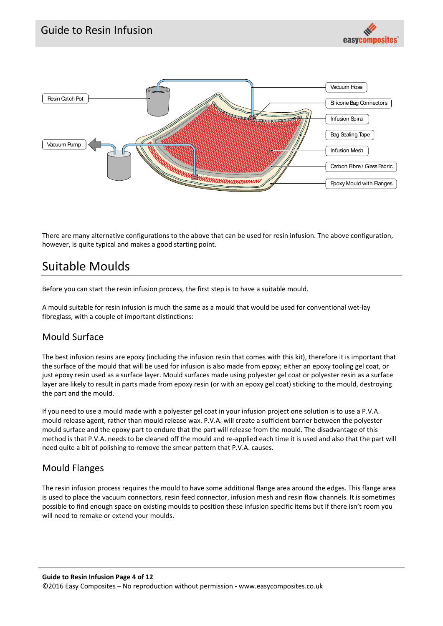



There are many alternative configurations to the above that can be used for resin infusion. The above configuration, however, is quite typical and makes a good starting point.

## Suitable Moulds

Before you can start the resin infusion process, the first step is to have a suitable mould.

A mould suitable for resin infusion is much the same as a mould that would be used for conventional wet‐lay fibreglass, with a couple of important distinctions:

#### Mould Surface

The best infusion resins are epoxy (including the infusion resin that comes with this kit), therefore it is important that the surface of the mould that will be used for infusion is also made from epoxy; either an epoxy tooling gel coat, or just epoxy resin used as a surface layer. Mould surfaces made using polyester gel coat or polyester resin as a surface layer are likely to result in parts made from epoxy resin (or with an epoxy gel coat) sticking to the mould, destroying the part and the mould.

If you need to use a mould made with a polyester gel coat in your infusion project one solution is to use a P.V.A. mould release agent, rather than mould release wax. P.V.A. will create a sufficient barrier between the polyester mould surface and the epoxy part to endure that the part will release from the mould. The disadvantage of this method is that P.V.A. needs to be cleaned off the mould and re‐applied each time it is used and also that the part will need quite a bit of polishing to remove the smear pattern that P.V.A. causes.

#### Mould Flanges

The resin infusion process requires the mould to have some additional flange area around the edges. This flange area is used to place the vacuum connectors, resin feed connector, infusion mesh and resin flow channels. It is sometimes possible to find enough space on existing moulds to position these infusion specific items but if there isn't room you will need to remake or extend your moulds.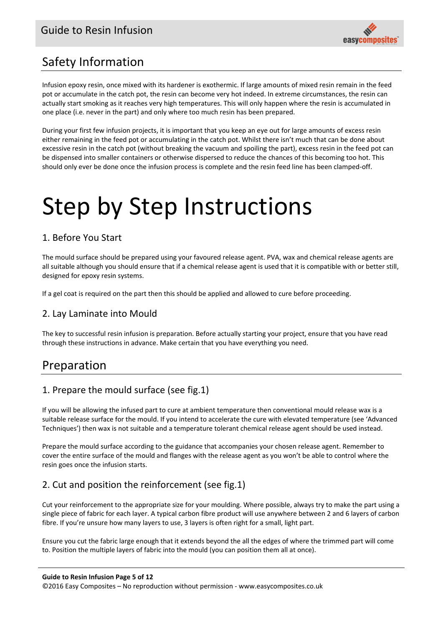

# Safety Information

Infusion epoxy resin, once mixed with its hardener is exothermic. If large amounts of mixed resin remain in the feed pot or accumulate in the catch pot, the resin can become very hot indeed. In extreme circumstances, the resin can actually start smoking as it reaches very high temperatures. This will only happen where the resin is accumulated in one place (i.e. never in the part) and only where too much resin has been prepared.

During your first few infusion projects, it is important that you keep an eye out for large amounts of excess resin either remaining in the feed pot or accumulating in the catch pot. Whilst there isn't much that can be done about excessive resin in the catch pot (without breaking the vacuum and spoiling the part), excess resin in the feed pot can be dispensed into smaller containers or otherwise dispersed to reduce the chances of this becoming too hot. This should only ever be done once the infusion process is complete and the resin feed line has been clamped‐off.

# Step by Step Instructions

#### 1. Before You Start

The mould surface should be prepared using your favoured release agent. PVA, wax and chemical release agents are all suitable although you should ensure that if a chemical release agent is used that it is compatible with or better still, designed for epoxy resin systems.

If a gel coat is required on the part then this should be applied and allowed to cure before proceeding.

#### 2. Lay Laminate into Mould

The key to successful resin infusion is preparation. Before actually starting your project, ensure that you have read through these instructions in advance. Make certain that you have everything you need.

## Preparation

#### 1. Prepare the mould surface (see fig.1)

If you will be allowing the infused part to cure at ambient temperature then conventional mould release wax is a suitable release surface for the mould. If you intend to accelerate the cure with elevated temperature (see 'Advanced Techniques') then wax is not suitable and a temperature tolerant chemical release agent should be used instead.

Prepare the mould surface according to the guidance that accompanies your chosen release agent. Remember to cover the entire surface of the mould and flanges with the release agent as you won't be able to control where the resin goes once the infusion starts.

### 2. Cut and position the reinforcement (see fig.1)

Cut your reinforcement to the appropriate size for your moulding. Where possible, always try to make the part using a single piece of fabric for each layer. A typical carbon fibre product will use anywhere between 2 and 6 layers of carbon fibre. If you're unsure how many layers to use, 3 layers is often right for a small, light part.

Ensure you cut the fabric large enough that it extends beyond the all the edges of where the trimmed part will come to. Position the multiple layers of fabric into the mould (you can position them all at once).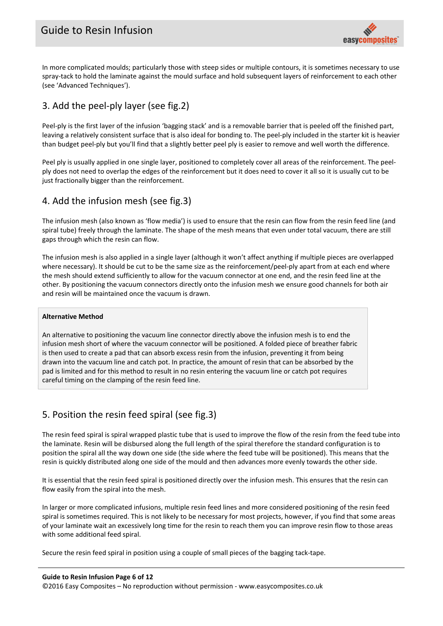

In more complicated moulds; particularly those with steep sides or multiple contours, it is sometimes necessary to use spray-tack to hold the laminate against the mould surface and hold subsequent layers of reinforcement to each other (see 'Advanced Techniques').

#### 3. Add the peel‐ply layer (see fig.2)

Peel-ply is the first layer of the infusion 'bagging stack' and is a removable barrier that is peeled off the finished part, leaving a relatively consistent surface that is also ideal for bonding to. The peel‐ply included in the starter kit is heavier than budget peel‐ply but you'll find that a slightly better peel ply is easier to remove and well worth the difference.

Peel ply is usually applied in one single layer, positioned to completely cover all areas of the reinforcement. The peelply does not need to overlap the edges of the reinforcement but it does need to cover it all so it is usually cut to be just fractionally bigger than the reinforcement.

#### 4. Add the infusion mesh (see fig.3)

The infusion mesh (also known as 'flow media') is used to ensure that the resin can flow from the resin feed line (and spiral tube) freely through the laminate. The shape of the mesh means that even under total vacuum, there are still gaps through which the resin can flow.

The infusion mesh is also applied in a single layer (although it won't affect anything if multiple pieces are overlapped where necessary). It should be cut to be the same size as the reinforcement/peel-ply apart from at each end where the mesh should extend sufficiently to allow for the vacuum connector at one end, and the resin feed line at the other. By positioning the vacuum connectors directly onto the infusion mesh we ensure good channels for both air and resin will be maintained once the vacuum is drawn.

#### **Alternative Method**

An alternative to positioning the vacuum line connector directly above the infusion mesh is to end the infusion mesh short of where the vacuum connector will be positioned. A folded piece of breather fabric is then used to create a pad that can absorb excess resin from the infusion, preventing it from being drawn into the vacuum line and catch pot. In practice, the amount of resin that can be absorbed by the pad is limited and for this method to result in no resin entering the vacuum line or catch pot requires careful timing on the clamping of the resin feed line.

#### 5. Position the resin feed spiral (see fig.3)

The resin feed spiral is spiral wrapped plastic tube that is used to improve the flow of the resin from the feed tube into the laminate. Resin will be disbursed along the full length of the spiral therefore the standard configuration is to position the spiral all the way down one side (the side where the feed tube will be positioned). This means that the resin is quickly distributed along one side of the mould and then advances more evenly towards the other side.

It is essential that the resin feed spiral is positioned directly over the infusion mesh. This ensures that the resin can flow easily from the spiral into the mesh.

In larger or more complicated infusions, multiple resin feed lines and more considered positioning of the resin feed spiral is sometimes required. This is not likely to be necessary for most projects, however, if you find that some areas of your laminate wait an excessively long time for the resin to reach them you can improve resin flow to those areas with some additional feed spiral.

Secure the resin feed spiral in position using a couple of small pieces of the bagging tack‐tape.

#### **Guide to Resin Infusion Page 6 of 12**

©2016 Easy Composites – No reproduction without permission ‐ www.easycomposites.co.uk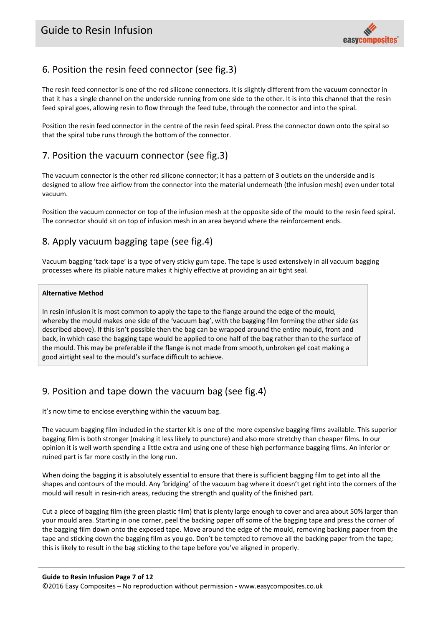

#### 6. Position the resin feed connector (see fig.3)

The resin feed connector is one of the red silicone connectors. It is slightly different from the vacuum connector in that it has a single channel on the underside running from one side to the other. It is into this channel that the resin feed spiral goes, allowing resin to flow through the feed tube, through the connector and into the spiral.

Position the resin feed connector in the centre of the resin feed spiral. Press the connector down onto the spiral so that the spiral tube runs through the bottom of the connector.

#### 7. Position the vacuum connector (see fig.3)

The vacuum connector is the other red silicone connector; it has a pattern of 3 outlets on the underside and is designed to allow free airflow from the connector into the material underneath (the infusion mesh) even under total vacuum.

Position the vacuum connector on top of the infusion mesh at the opposite side of the mould to the resin feed spiral. The connector should sit on top of infusion mesh in an area beyond where the reinforcement ends.

#### 8. Apply vacuum bagging tape (see fig.4)

Vacuum bagging 'tack‐tape' is a type of very sticky gum tape. The tape is used extensively in all vacuum bagging processes where its pliable nature makes it highly effective at providing an air tight seal.

#### **Alternative Method**

In resin infusion it is most common to apply the tape to the flange around the edge of the mould, whereby the mould makes one side of the 'vacuum bag', with the bagging film forming the other side (as described above). If this isn't possible then the bag can be wrapped around the entire mould, front and back, in which case the bagging tape would be applied to one half of the bag rather than to the surface of the mould. This may be preferable if the flange is not made from smooth, unbroken gel coat making a good airtight seal to the mould's surface difficult to achieve.

#### 9. Position and tape down the vacuum bag (see fig.4)

It's now time to enclose everything within the vacuum bag.

The vacuum bagging film included in the starter kit is one of the more expensive bagging films available. This superior bagging film is both stronger (making it less likely to puncture) and also more stretchy than cheaper films. In our opinion it is well worth spending a little extra and using one of these high performance bagging films. An inferior or ruined part is far more costly in the long run.

When doing the bagging it is absolutely essential to ensure that there is sufficient bagging film to get into all the shapes and contours of the mould. Any 'bridging' of the vacuum bag where it doesn't get right into the corners of the mould will result in resin-rich areas, reducing the strength and quality of the finished part.

Cut a piece of bagging film (the green plastic film) that is plenty large enough to cover and area about 50% larger than your mould area. Starting in one corner, peel the backing paper off some of the bagging tape and press the corner of the bagging film down onto the exposed tape. Move around the edge of the mould, removing backing paper from the tape and sticking down the bagging film as you go. Don't be tempted to remove all the backing paper from the tape; this is likely to result in the bag sticking to the tape before you've aligned in properly.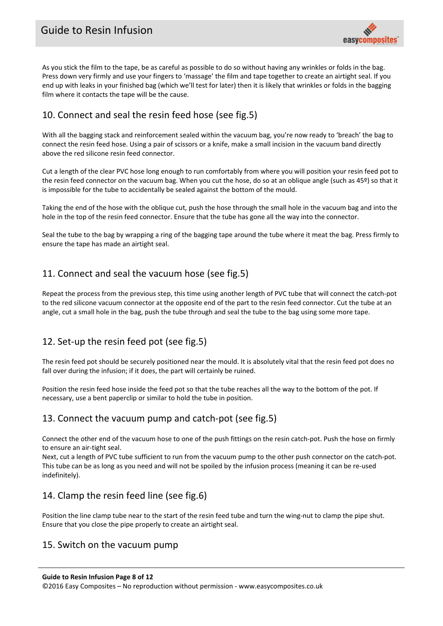

As you stick the film to the tape, be as careful as possible to do so without having any wrinkles or folds in the bag. Press down very firmly and use your fingers to 'massage' the film and tape together to create an airtight seal. If you end up with leaks in your finished bag (which we'll test for later) then it is likely that wrinkles or folds in the bagging film where it contacts the tape will be the cause.

#### 10. Connect and seal the resin feed hose (see fig.5)

With all the bagging stack and reinforcement sealed within the vacuum bag, you're now ready to 'breach' the bag to connect the resin feed hose. Using a pair of scissors or a knife, make a small incision in the vacuum band directly above the red silicone resin feed connector.

Cut a length of the clear PVC hose long enough to run comfortably from where you will position your resin feed pot to the resin feed connector on the vacuum bag. When you cut the hose, do so at an oblique angle (such as 45º) so that it is impossible for the tube to accidentally be sealed against the bottom of the mould.

Taking the end of the hose with the oblique cut, push the hose through the small hole in the vacuum bag and into the hole in the top of the resin feed connector. Ensure that the tube has gone all the way into the connector.

Seal the tube to the bag by wrapping a ring of the bagging tape around the tube where it meat the bag. Press firmly to ensure the tape has made an airtight seal.

#### 11. Connect and seal the vacuum hose (see fig.5)

Repeat the process from the previous step, this time using another length of PVC tube that will connect the catch-pot to the red silicone vacuum connector at the opposite end of the part to the resin feed connector. Cut the tube at an angle, cut a small hole in the bag, push the tube through and seal the tube to the bag using some more tape.

#### 12. Set-up the resin feed pot (see fig.5)

The resin feed pot should be securely positioned near the mould. It is absolutely vital that the resin feed pot does no fall over during the infusion; if it does, the part will certainly be ruined.

Position the resin feed hose inside the feed pot so that the tube reaches all the way to the bottom of the pot. If necessary, use a bent paperclip or similar to hold the tube in position.

#### 13. Connect the vacuum pump and catch‐pot (see fig.5)

Connect the other end of the vacuum hose to one of the push fittings on the resin catch‐pot. Push the hose on firmly to ensure an air‐tight seal.

Next, cut a length of PVC tube sufficient to run from the vacuum pump to the other push connector on the catch-pot. This tube can be as long as you need and will not be spoiled by the infusion process (meaning it can be re‐used indefinitely).

#### 14. Clamp the resin feed line (see fig.6)

Position the line clamp tube near to the start of the resin feed tube and turn the wing-nut to clamp the pipe shut. Ensure that you close the pipe properly to create an airtight seal.

#### 15. Switch on the vacuum pump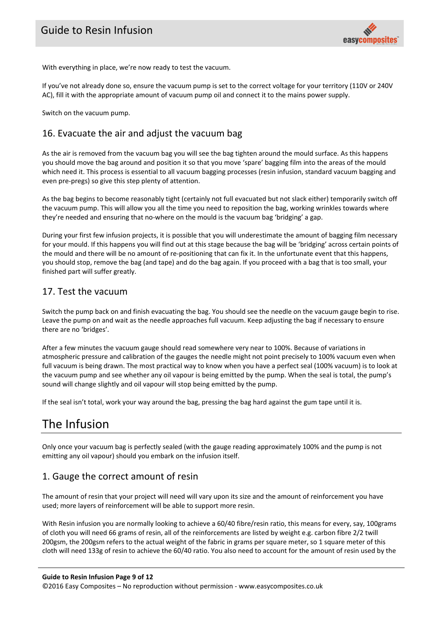

With everything in place, we're now ready to test the vacuum.

If you've not already done so, ensure the vacuum pump is set to the correct voltage for your territory (110V or 240V AC), fill it with the appropriate amount of vacuum pump oil and connect it to the mains power supply.

Switch on the vacuum pump.

#### 16. Evacuate the air and adjust the vacuum bag

As the air is removed from the vacuum bag you will see the bag tighten around the mould surface. As this happens you should move the bag around and position it so that you move 'spare' bagging film into the areas of the mould which need it. This process is essential to all vacuum bagging processes (resin infusion, standard vacuum bagging and even pre‐pregs) so give this step plenty of attention.

As the bag begins to become reasonably tight (certainly not full evacuated but not slack either) temporarily switch off the vacuum pump. This will allow you all the time you need to reposition the bag, working wrinkles towards where they're needed and ensuring that no‐where on the mould is the vacuum bag 'bridging' a gap.

During your first few infusion projects, it is possible that you will underestimate the amount of bagging film necessary for your mould. If this happens you will find out at this stage because the bag will be 'bridging' across certain points of the mould and there will be no amount of re‐positioning that can fix it. In the unfortunate event that this happens, you should stop, remove the bag (and tape) and do the bag again. If you proceed with a bag that is too small, your finished part will suffer greatly.

#### 17. Test the vacuum

Switch the pump back on and finish evacuating the bag. You should see the needle on the vacuum gauge begin to rise. Leave the pump on and wait as the needle approaches full vacuum. Keep adjusting the bag if necessary to ensure there are no 'bridges'.

After a few minutes the vacuum gauge should read somewhere very near to 100%. Because of variations in atmospheric pressure and calibration of the gauges the needle might not point precisely to 100% vacuum even when full vacuum is being drawn. The most practical way to know when you have a perfect seal (100% vacuum) is to look at the vacuum pump and see whether any oil vapour is being emitted by the pump. When the seal is total, the pump's sound will change slightly and oil vapour will stop being emitted by the pump.

If the seal isn't total, work your way around the bag, pressing the bag hard against the gum tape until it is.

## The Infusion

Only once your vacuum bag is perfectly sealed (with the gauge reading approximately 100% and the pump is not emitting any oil vapour) should you embark on the infusion itself.

#### 1. Gauge the correct amount of resin

The amount of resin that your project will need will vary upon its size and the amount of reinforcement you have used; more layers of reinforcement will be able to support more resin.

With Resin infusion you are normally looking to achieve a 60/40 fibre/resin ratio, this means for every, say, 100grams of cloth you will need 66 grams of resin, all of the reinforcements are listed by weight e.g. carbon fibre 2/2 twill 200gsm, the 200gsm refers to the actual weight of the fabric in grams per square meter, so 1 square meter of this cloth will need 133g of resin to achieve the 60/40 ratio. You also need to account for the amount of resin used by the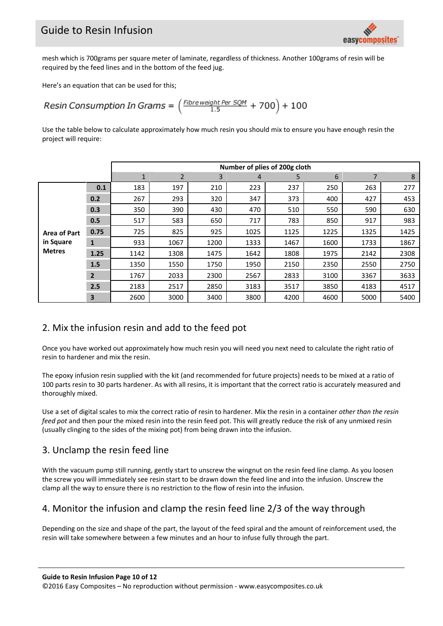## Guide to Resin Infusion



mesh which is 700grams per square meter of laminate, regardless of thickness. Another 100grams of resin will be required by the feed lines and in the bottom of the feed jug.

Here's an equation that can be used for this;

Resin Consumption In Grams =  $\left(\frac{Fibre weight Per SOM}{1.5} + 700\right) + 100$ 

Use the table below to calculate approximately how much resin you should mix to ensure you have enough resin the project will require:

|                                                   |              | Number of plies of 200g cloth |                |      |      |      |      |                |      |  |
|---------------------------------------------------|--------------|-------------------------------|----------------|------|------|------|------|----------------|------|--|
|                                                   |              | $\mathbf{1}$                  | $\overline{2}$ | 3    | 4    | 5    | 6    | $\overline{7}$ | 8    |  |
| <b>Area of Part</b><br>in Square<br><b>Metres</b> | 0.1          | 183                           | 197            | 210  | 223  | 237  | 250  | 263            | 277  |  |
|                                                   | 0.2          | 267                           | 293            | 320  | 347  | 373  | 400  | 427            | 453  |  |
|                                                   | 0.3          | 350                           | 390            | 430  | 470  | 510  | 550  | 590            | 630  |  |
|                                                   | 0.5          | 517                           | 583            | 650  | 717  | 783  | 850  | 917            | 983  |  |
|                                                   | 0.75         | 725                           | 825            | 925  | 1025 | 1125 | 1225 | 1325           | 1425 |  |
|                                                   | $\mathbf{1}$ | 933                           | 1067           | 1200 | 1333 | 1467 | 1600 | 1733           | 1867 |  |
|                                                   | 1.25         | 1142                          | 1308           | 1475 | 1642 | 1808 | 1975 | 2142           | 2308 |  |
|                                                   | 1.5          | 1350                          | 1550           | 1750 | 1950 | 2150 | 2350 | 2550           | 2750 |  |
|                                                   | $2^{\circ}$  | 1767                          | 2033           | 2300 | 2567 | 2833 | 3100 | 3367           | 3633 |  |
|                                                   | 2.5          | 2183                          | 2517           | 2850 | 3183 | 3517 | 3850 | 4183           | 4517 |  |
|                                                   | 3            | 2600                          | 3000           | 3400 | 3800 | 4200 | 4600 | 5000           | 5400 |  |

#### 2. Mix the infusion resin and add to the feed pot

Once you have worked out approximately how much resin you will need you next need to calculate the right ratio of resin to hardener and mix the resin.

The epoxy infusion resin supplied with the kit (and recommended for future projects) needs to be mixed at a ratio of 100 parts resin to 30 parts hardener. As with all resins, it is important that the correct ratio is accurately measured and thoroughly mixed.

Use a set of digital scales to mix the correct ratio of resin to hardener. Mix the resin in a container *other than the resin feed pot* and then pour the mixed resin into the resin feed pot. This will greatly reduce the risk of any unmixed resin (usually clinging to the sides of the mixing pot) from being drawn into the infusion.

#### 3. Unclamp the resin feed line

With the vacuum pump still running, gently start to unscrew the wingnut on the resin feed line clamp. As you loosen the screw you will immediately see resin start to be drawn down the feed line and into the infusion. Unscrew the clamp all the way to ensure there is no restriction to the flow of resin into the infusion.

#### 4. Monitor the infusion and clamp the resin feed line 2/3 of the way through

Depending on the size and shape of the part, the layout of the feed spiral and the amount of reinforcement used, the resin will take somewhere between a few minutes and an hour to infuse fully through the part.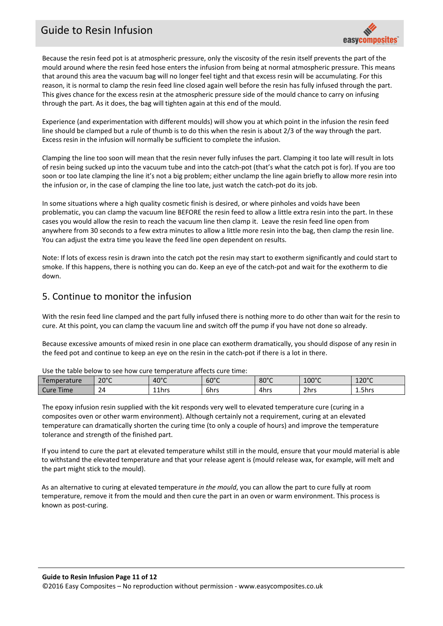## Guide to Resin Infusion



Because the resin feed pot is at atmospheric pressure, only the viscosity of the resin itself prevents the part of the mould around where the resin feed hose enters the infusion from being at normal atmospheric pressure. This means that around this area the vacuum bag will no longer feel tight and that excess resin will be accumulating. For this reason, it is normal to clamp the resin feed line closed again well before the resin has fully infused through the part. This gives chance for the excess resin at the atmospheric pressure side of the mould chance to carry on infusing through the part. As it does, the bag will tighten again at this end of the mould.

Experience (and experimentation with different moulds) will show you at which point in the infusion the resin feed line should be clamped but a rule of thumb is to do this when the resin is about 2/3 of the way through the part. Excess resin in the infusion will normally be sufficient to complete the infusion.

Clamping the line too soon will mean that the resin never fully infuses the part. Clamping it too late will result in lots of resin being sucked up into the vacuum tube and into the catch‐pot (that's what the catch pot is for). If you are too soon or too late clamping the line it's not a big problem; either unclamp the line again briefly to allow more resin into the infusion or, in the case of clamping the line too late, just watch the catch‐pot do its job.

In some situations where a high quality cosmetic finish is desired, or where pinholes and voids have been problematic, you can clamp the vacuum line BEFORE the resin feed to allow a little extra resin into the part. In these cases you would allow the resin to reach the vacuum line then clamp it. Leave the resin feed line open from anywhere from 30 seconds to a few extra minutes to allow a little more resin into the bag, then clamp the resin line. You can adjust the extra time you leave the feed line open dependent on results.

Note: If lots of excess resin is drawn into the catch pot the resin may start to exotherm significantly and could start to smoke. If this happens, there is nothing you can do. Keep an eye of the catch-pot and wait for the exotherm to die down.

#### 5. Continue to monitor the infusion

With the resin feed line clamped and the part fully infused there is nothing more to do other than wait for the resin to cure. At this point, you can clamp the vacuum line and switch off the pump if you have not done so already.

Because excessive amounts of mixed resin in one place can exotherm dramatically, you should dispose of any resin in the feed pot and continue to keep an eye on the resin in the catch‐pot if there is a lot in there.

| Use the table below to see now cure temperature affects cure time. |                |                |                |                |                 |                 |  |  |
|--------------------------------------------------------------------|----------------|----------------|----------------|----------------|-----------------|-----------------|--|--|
| Temperature                                                        | $20^{\circ}$ C | $40^{\circ}$ C | $60^{\circ}$ C | $80^{\circ}$ C | $100^{\circ}$ C | $120^{\circ}$ C |  |  |
| Cure Time                                                          | 24             | 11hrs          | 6hrs           | 4hrs           | 2hrs            | 1.5hrs          |  |  |

Use the table below to see how cure temperature affects cure time:

The epoxy infusion resin supplied with the kit responds very well to elevated temperature cure (curing in a composites oven or other warm environment). Although certainly not a requirement, curing at an elevated temperature can dramatically shorten the curing time (to only a couple of hours) and improve the temperature tolerance and strength of the finished part.

If you intend to cure the part at elevated temperature whilst still in the mould, ensure that your mould material is able to withstand the elevated temperature and that your release agent is (mould release wax, for example, will melt and the part might stick to the mould).

As an alternative to curing at elevated temperature *in the mould*, you can allow the part to cure fully at room temperature, remove it from the mould and then cure the part in an oven or warm environment. This process is known as post‐curing.